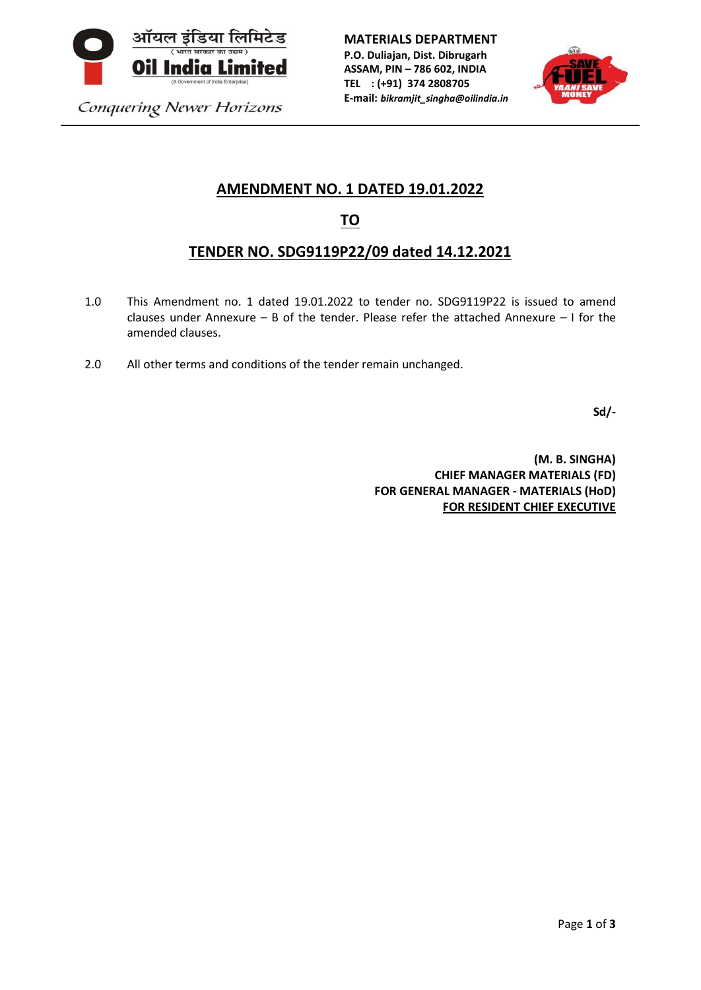

**MATERIALS DEPARTMENT P.O. Duliajan, Dist. Dibrugarh ASSAM, PIN – 786 602, INDIA TEL : (+91) 374 2808705 E-mail:** *bikramjit\_singha@oilindia.in*



Conquering Newer Horizons

# **AMENDMENT NO. 1 DATED 19.01.2022**

# **TO**

# **TENDER NO. SDG9119P22/09 dated 14.12.2021**

- 1.0 This Amendment no. 1 dated 19.01.2022 to tender no. SDG9119P22 is issued to amend clauses under Annexure – B of the tender. Please refer the attached Annexure – I for the amended clauses.
- 2.0 All other terms and conditions of the tender remain unchanged.

**Sd/-**

**(M. B. SINGHA) CHIEF MANAGER MATERIALS (FD) FOR GENERAL MANAGER - MATERIALS (HoD) FOR RESIDENT CHIEF EXECUTIVE**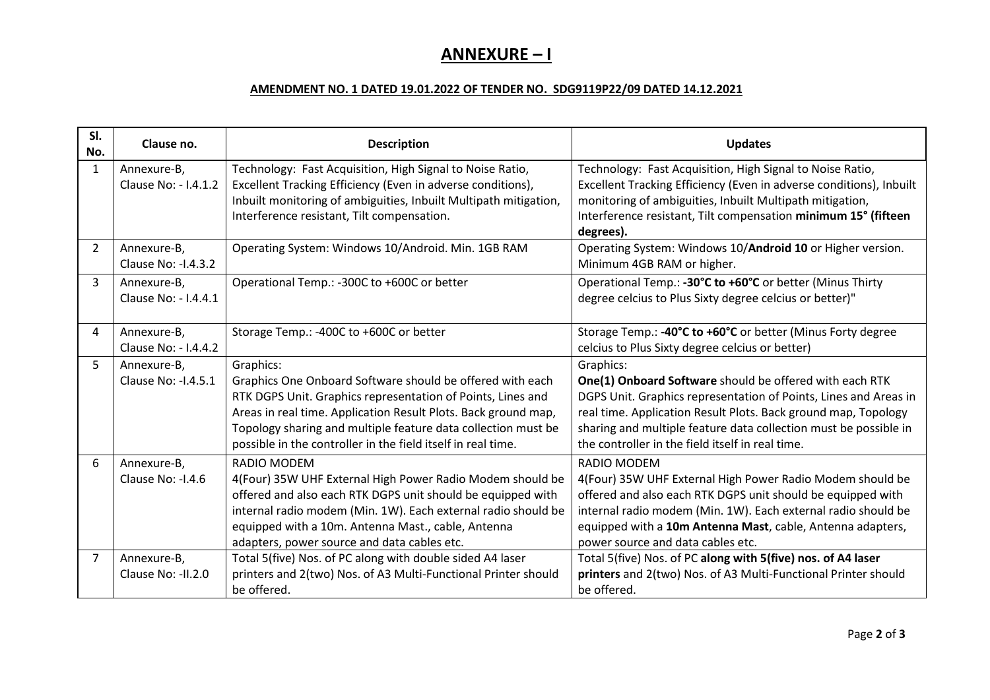# **ANNEXURE – I**

#### **AMENDMENT NO. 1 DATED 19.01.2022 OF TENDER NO. SDG9119P22/09 DATED 14.12.2021**

| SI.<br>No.     | Clause no.                          | <b>Description</b>                                                                                                                                                                                                                                                                                                                       | <b>Updates</b>                                                                                                                                                                                                                                                                                                                     |
|----------------|-------------------------------------|------------------------------------------------------------------------------------------------------------------------------------------------------------------------------------------------------------------------------------------------------------------------------------------------------------------------------------------|------------------------------------------------------------------------------------------------------------------------------------------------------------------------------------------------------------------------------------------------------------------------------------------------------------------------------------|
| $\mathbf{1}$   | Annexure-B,<br>Clause No: - 1.4.1.2 | Technology: Fast Acquisition, High Signal to Noise Ratio,<br>Excellent Tracking Efficiency (Even in adverse conditions),<br>Inbuilt monitoring of ambiguities, Inbuilt Multipath mitigation,<br>Interference resistant, Tilt compensation.                                                                                               | Technology: Fast Acquisition, High Signal to Noise Ratio,<br>Excellent Tracking Efficiency (Even in adverse conditions), Inbuilt<br>monitoring of ambiguities, Inbuilt Multipath mitigation,<br>Interference resistant, Tilt compensation minimum 15° (fifteen<br>degrees).                                                        |
| $\overline{2}$ | Annexure-B,<br>Clause No: -1.4.3.2  | Operating System: Windows 10/Android. Min. 1GB RAM                                                                                                                                                                                                                                                                                       | Operating System: Windows 10/Android 10 or Higher version.<br>Minimum 4GB RAM or higher.                                                                                                                                                                                                                                           |
| 3              | Annexure-B,<br>Clause No: - 1.4.4.1 | Operational Temp.: -300C to +600C or better                                                                                                                                                                                                                                                                                              | Operational Temp.: -30°C to +60°C or better (Minus Thirty<br>degree celcius to Plus Sixty degree celcius or better)"                                                                                                                                                                                                               |
| 4              | Annexure-B,<br>Clause No: - 1.4.4.2 | Storage Temp.: -400C to +600C or better                                                                                                                                                                                                                                                                                                  | Storage Temp.: -40°C to +60°C or better (Minus Forty degree<br>celcius to Plus Sixty degree celcius or better)                                                                                                                                                                                                                     |
| 5              | Annexure-B,<br>Clause No: - 1.4.5.1 | Graphics:<br>Graphics One Onboard Software should be offered with each<br>RTK DGPS Unit. Graphics representation of Points, Lines and<br>Areas in real time. Application Result Plots. Back ground map,<br>Topology sharing and multiple feature data collection must be<br>possible in the controller in the field itself in real time. | Graphics:<br>One(1) Onboard Software should be offered with each RTK<br>DGPS Unit. Graphics representation of Points, Lines and Areas in<br>real time. Application Result Plots. Back ground map, Topology<br>sharing and multiple feature data collection must be possible in<br>the controller in the field itself in real time. |
| 6              | Annexure-B,<br>Clause No: - I.4.6   | RADIO MODEM<br>4(Four) 35W UHF External High Power Radio Modem should be<br>offered and also each RTK DGPS unit should be equipped with<br>internal radio modem (Min. 1W). Each external radio should be<br>equipped with a 10m. Antenna Mast., cable, Antenna<br>adapters, power source and data cables etc.                            | RADIO MODEM<br>4(Four) 35W UHF External High Power Radio Modem should be<br>offered and also each RTK DGPS unit should be equipped with<br>internal radio modem (Min. 1W). Each external radio should be<br>equipped with a 10m Antenna Mast, cable, Antenna adapters,<br>power source and data cables etc.                        |
| $\overline{7}$ | Annexure-B,<br>Clause No: - II.2.0  | Total 5(five) Nos. of PC along with double sided A4 laser<br>printers and 2(two) Nos. of A3 Multi-Functional Printer should<br>be offered.                                                                                                                                                                                               | Total 5(five) Nos. of PC along with 5(five) nos. of A4 laser<br>printers and 2(two) Nos. of A3 Multi-Functional Printer should<br>be offered.                                                                                                                                                                                      |